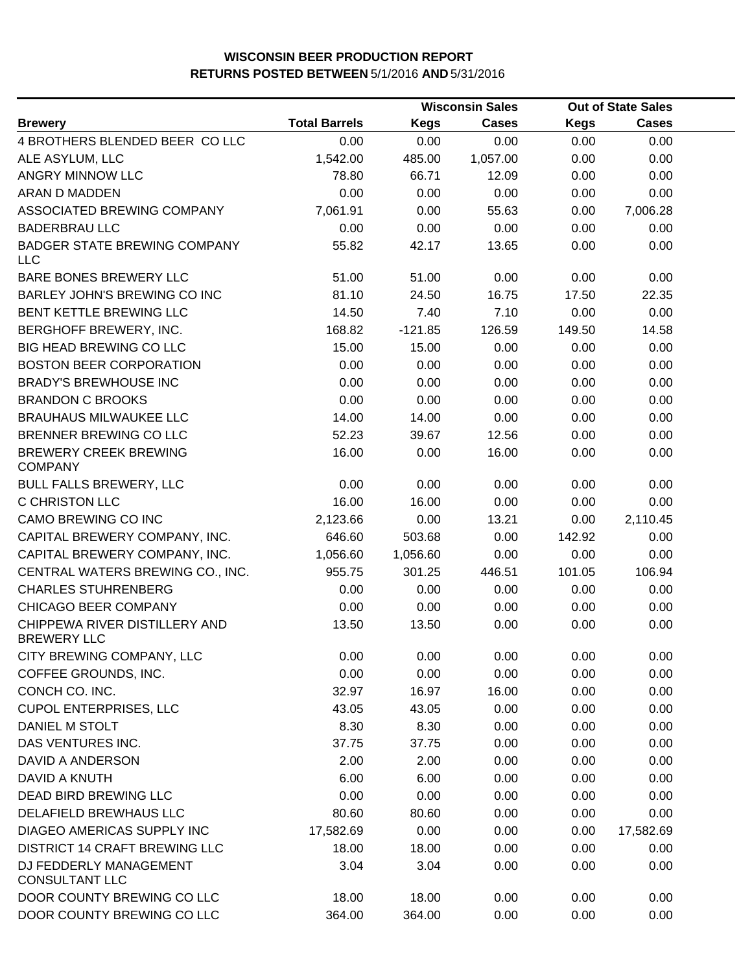|                                                     |                      |             | <b>Wisconsin Sales</b> |             | <b>Out of State Sales</b> |  |
|-----------------------------------------------------|----------------------|-------------|------------------------|-------------|---------------------------|--|
| <b>Brewery</b>                                      | <b>Total Barrels</b> | <b>Kegs</b> | Cases                  | <b>Kegs</b> | <b>Cases</b>              |  |
| 4 BROTHERS BLENDED BEER COLLC                       | 0.00                 | 0.00        | 0.00                   | 0.00        | 0.00                      |  |
| ALE ASYLUM, LLC                                     | 1,542.00             | 485.00      | 1,057.00               | 0.00        | 0.00                      |  |
| ANGRY MINNOW LLC                                    | 78.80                | 66.71       | 12.09                  | 0.00        | 0.00                      |  |
| <b>ARAN D MADDEN</b>                                | 0.00                 | 0.00        | 0.00                   | 0.00        | 0.00                      |  |
| ASSOCIATED BREWING COMPANY                          | 7,061.91             | 0.00        | 55.63                  | 0.00        | 7,006.28                  |  |
| <b>BADERBRAU LLC</b>                                | 0.00                 | 0.00        | 0.00                   | 0.00        | 0.00                      |  |
| <b>BADGER STATE BREWING COMPANY</b><br><b>LLC</b>   | 55.82                | 42.17       | 13.65                  | 0.00        | 0.00                      |  |
| <b>BARE BONES BREWERY LLC</b>                       | 51.00                | 51.00       | 0.00                   | 0.00        | 0.00                      |  |
| BARLEY JOHN'S BREWING CO INC                        | 81.10                | 24.50       | 16.75                  | 17.50       | 22.35                     |  |
| BENT KETTLE BREWING LLC                             | 14.50                | 7.40        | 7.10                   | 0.00        | 0.00                      |  |
| BERGHOFF BREWERY, INC.                              | 168.82               | $-121.85$   | 126.59                 | 149.50      | 14.58                     |  |
| <b>BIG HEAD BREWING CO LLC</b>                      | 15.00                | 15.00       | 0.00                   | 0.00        | 0.00                      |  |
| <b>BOSTON BEER CORPORATION</b>                      | 0.00                 | 0.00        | 0.00                   | 0.00        | 0.00                      |  |
| <b>BRADY'S BREWHOUSE INC</b>                        | 0.00                 | 0.00        | 0.00                   | 0.00        | 0.00                      |  |
| <b>BRANDON C BROOKS</b>                             | 0.00                 | 0.00        | 0.00                   | 0.00        | 0.00                      |  |
| <b>BRAUHAUS MILWAUKEE LLC</b>                       | 14.00                | 14.00       | 0.00                   | 0.00        | 0.00                      |  |
| BRENNER BREWING CO LLC                              | 52.23                | 39.67       | 12.56                  | 0.00        | 0.00                      |  |
| <b>BREWERY CREEK BREWING</b><br><b>COMPANY</b>      | 16.00                | 0.00        | 16.00                  | 0.00        | 0.00                      |  |
| <b>BULL FALLS BREWERY, LLC</b>                      | 0.00                 | 0.00        | 0.00                   | 0.00        | 0.00                      |  |
| C CHRISTON LLC                                      | 16.00                | 16.00       | 0.00                   | 0.00        | 0.00                      |  |
| CAMO BREWING CO INC                                 | 2,123.66             | 0.00        | 13.21                  | 0.00        | 2,110.45                  |  |
| CAPITAL BREWERY COMPANY, INC.                       | 646.60               | 503.68      | 0.00                   | 142.92      | 0.00                      |  |
| CAPITAL BREWERY COMPANY, INC.                       | 1,056.60             | 1,056.60    | 0.00                   | 0.00        | 0.00                      |  |
| CENTRAL WATERS BREWING CO., INC.                    | 955.75               | 301.25      | 446.51                 | 101.05      | 106.94                    |  |
| <b>CHARLES STUHRENBERG</b>                          | 0.00                 | 0.00        | 0.00                   | 0.00        | 0.00                      |  |
| CHICAGO BEER COMPANY                                | 0.00                 | 0.00        | 0.00                   | 0.00        | 0.00                      |  |
| CHIPPEWA RIVER DISTILLERY AND<br><b>BREWERY LLC</b> | 13.50                | 13.50       | 0.00                   | 0.00        | 0.00                      |  |
| CITY BREWING COMPANY, LLC                           | 0.00                 | 0.00        | 0.00                   | 0.00        | 0.00                      |  |
| COFFEE GROUNDS, INC.                                | 0.00                 | 0.00        | 0.00                   | 0.00        | 0.00                      |  |
| CONCH CO. INC.                                      | 32.97                | 16.97       | 16.00                  | 0.00        | 0.00                      |  |
| <b>CUPOL ENTERPRISES, LLC</b>                       | 43.05                | 43.05       | 0.00                   | 0.00        | 0.00                      |  |
| DANIEL M STOLT                                      | 8.30                 | 8.30        | 0.00                   | 0.00        | 0.00                      |  |
| DAS VENTURES INC.                                   | 37.75                | 37.75       | 0.00                   | 0.00        | 0.00                      |  |
| DAVID A ANDERSON                                    | 2.00                 | 2.00        | 0.00                   | 0.00        | 0.00                      |  |
| DAVID A KNUTH                                       | 6.00                 | 6.00        | 0.00                   | 0.00        | 0.00                      |  |
| DEAD BIRD BREWING LLC                               | 0.00                 | 0.00        | 0.00                   | 0.00        | 0.00                      |  |
| DELAFIELD BREWHAUS LLC                              | 80.60                | 80.60       | 0.00                   | 0.00        | 0.00                      |  |
| DIAGEO AMERICAS SUPPLY INC                          | 17,582.69            | 0.00        | 0.00                   | 0.00        | 17,582.69                 |  |
| DISTRICT 14 CRAFT BREWING LLC                       | 18.00                | 18.00       | 0.00                   | 0.00        | 0.00                      |  |
| DJ FEDDERLY MANAGEMENT<br><b>CONSULTANT LLC</b>     | 3.04                 | 3.04        | 0.00                   | 0.00        | 0.00                      |  |
| DOOR COUNTY BREWING CO LLC                          | 18.00                | 18.00       | 0.00                   | 0.00        | 0.00                      |  |
| DOOR COUNTY BREWING CO LLC                          | 364.00               | 364.00      | 0.00                   | 0.00        | 0.00                      |  |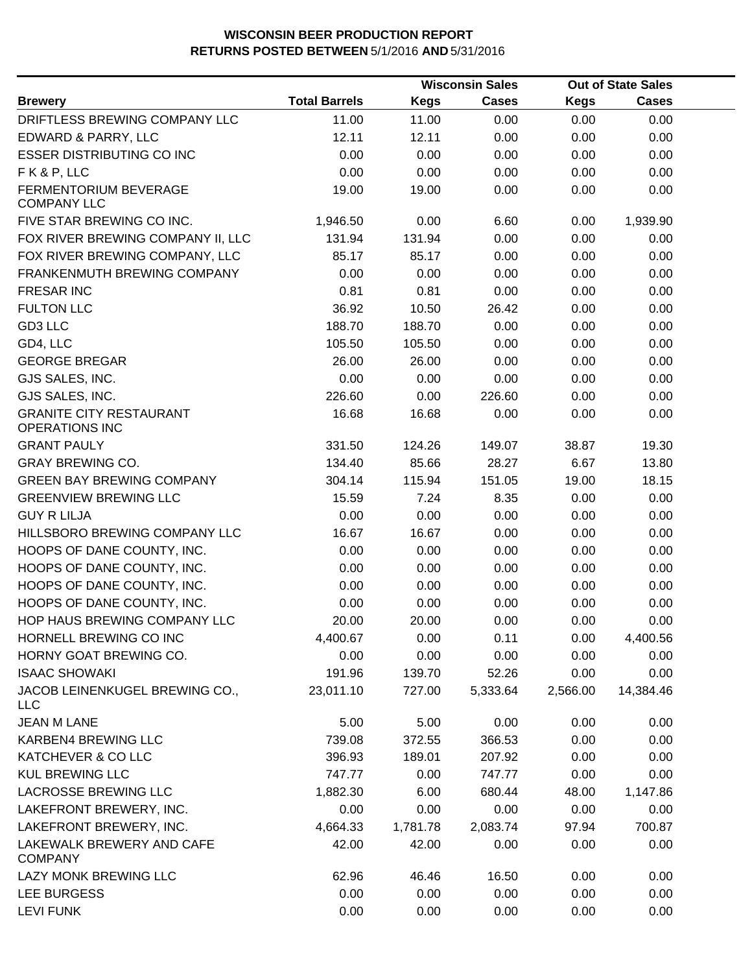|                                                         |                      |             | <b>Wisconsin Sales</b><br><b>Out of State Sales</b> |          |              |  |
|---------------------------------------------------------|----------------------|-------------|-----------------------------------------------------|----------|--------------|--|
| <b>Brewery</b>                                          | <b>Total Barrels</b> | <b>Kegs</b> | <b>Cases</b>                                        | Kegs     | <b>Cases</b> |  |
| DRIFTLESS BREWING COMPANY LLC                           | 11.00                | 11.00       | 0.00                                                | 0.00     | 0.00         |  |
| EDWARD & PARRY, LLC                                     | 12.11                | 12.11       | 0.00                                                | 0.00     | 0.00         |  |
| <b>ESSER DISTRIBUTING CO INC</b>                        | 0.00                 | 0.00        | 0.00                                                | 0.00     | 0.00         |  |
| FK&P, LLC                                               | 0.00                 | 0.00        | 0.00                                                | 0.00     | 0.00         |  |
| FERMENTORIUM BEVERAGE<br><b>COMPANY LLC</b>             | 19.00                | 19.00       | 0.00                                                | 0.00     | 0.00         |  |
| FIVE STAR BREWING CO INC.                               | 1,946.50             | 0.00        | 6.60                                                | 0.00     | 1,939.90     |  |
| FOX RIVER BREWING COMPANY II, LLC                       | 131.94               | 131.94      | 0.00                                                | 0.00     | 0.00         |  |
| FOX RIVER BREWING COMPANY, LLC                          | 85.17                | 85.17       | 0.00                                                | 0.00     | 0.00         |  |
| FRANKENMUTH BREWING COMPANY                             | 0.00                 | 0.00        | 0.00                                                | 0.00     | 0.00         |  |
| <b>FRESAR INC</b>                                       | 0.81                 | 0.81        | 0.00                                                | 0.00     | 0.00         |  |
| <b>FULTON LLC</b>                                       | 36.92                | 10.50       | 26.42                                               | 0.00     | 0.00         |  |
| GD3 LLC                                                 | 188.70               | 188.70      | 0.00                                                | 0.00     | 0.00         |  |
| GD4, LLC                                                | 105.50               | 105.50      | 0.00                                                | 0.00     | 0.00         |  |
| <b>GEORGE BREGAR</b>                                    | 26.00                | 26.00       | 0.00                                                | 0.00     | 0.00         |  |
| GJS SALES, INC.                                         | 0.00                 | 0.00        | 0.00                                                | 0.00     | 0.00         |  |
| GJS SALES, INC.                                         | 226.60               | 0.00        | 226.60                                              | 0.00     | 0.00         |  |
| <b>GRANITE CITY RESTAURANT</b><br><b>OPERATIONS INC</b> | 16.68                | 16.68       | 0.00                                                | 0.00     | 0.00         |  |
| <b>GRANT PAULY</b>                                      | 331.50               | 124.26      | 149.07                                              | 38.87    | 19.30        |  |
| <b>GRAY BREWING CO.</b>                                 | 134.40               | 85.66       | 28.27                                               | 6.67     | 13.80        |  |
| <b>GREEN BAY BREWING COMPANY</b>                        | 304.14               | 115.94      | 151.05                                              | 19.00    | 18.15        |  |
| <b>GREENVIEW BREWING LLC</b>                            | 15.59                | 7.24        | 8.35                                                | 0.00     | 0.00         |  |
| <b>GUY R LILJA</b>                                      | 0.00                 | 0.00        | 0.00                                                | 0.00     | 0.00         |  |
| HILLSBORO BREWING COMPANY LLC                           | 16.67                | 16.67       | 0.00                                                | 0.00     | 0.00         |  |
| HOOPS OF DANE COUNTY, INC.                              | 0.00                 | 0.00        | 0.00                                                | 0.00     | 0.00         |  |
| HOOPS OF DANE COUNTY, INC.                              | 0.00                 | 0.00        | 0.00                                                | 0.00     | 0.00         |  |
| HOOPS OF DANE COUNTY, INC.                              | 0.00                 | 0.00        | 0.00                                                | 0.00     | 0.00         |  |
| HOOPS OF DANE COUNTY, INC.                              | 0.00                 | 0.00        | 0.00                                                | 0.00     | 0.00         |  |
| HOP HAUS BREWING COMPANY LLC                            | 20.00                | 20.00       | 0.00                                                | 0.00     | 0.00         |  |
| HORNELL BREWING CO INC                                  | 4,400.67             | 0.00        | 0.11                                                | 0.00     | 4,400.56     |  |
| HORNY GOAT BREWING CO.                                  | 0.00                 | 0.00        | 0.00                                                | 0.00     | 0.00         |  |
| <b>ISAAC SHOWAKI</b>                                    | 191.96               | 139.70      | 52.26                                               | 0.00     | 0.00         |  |
| JACOB LEINENKUGEL BREWING CO.,<br><b>LLC</b>            | 23,011.10            | 727.00      | 5,333.64                                            | 2,566.00 | 14,384.46    |  |
| <b>JEAN M LANE</b>                                      | 5.00                 | 5.00        | 0.00                                                | 0.00     | 0.00         |  |
| KARBEN4 BREWING LLC                                     | 739.08               | 372.55      | 366.53                                              | 0.00     | 0.00         |  |
| KATCHEVER & CO LLC                                      | 396.93               | 189.01      | 207.92                                              | 0.00     | 0.00         |  |
| <b>KUL BREWING LLC</b>                                  | 747.77               | 0.00        | 747.77                                              | 0.00     | 0.00         |  |
| <b>LACROSSE BREWING LLC</b>                             | 1,882.30             | 6.00        | 680.44                                              | 48.00    | 1,147.86     |  |
| LAKEFRONT BREWERY, INC.                                 | 0.00                 | 0.00        | 0.00                                                | 0.00     | 0.00         |  |
| LAKEFRONT BREWERY, INC.                                 | 4,664.33             | 1,781.78    | 2,083.74                                            | 97.94    | 700.87       |  |
| LAKEWALK BREWERY AND CAFE<br><b>COMPANY</b>             | 42.00                | 42.00       | 0.00                                                | 0.00     | 0.00         |  |
| <b>LAZY MONK BREWING LLC</b>                            | 62.96                | 46.46       | 16.50                                               | 0.00     | 0.00         |  |
| LEE BURGESS                                             | 0.00                 | 0.00        | 0.00                                                | 0.00     | 0.00         |  |
| <b>LEVI FUNK</b>                                        | 0.00                 | 0.00        | 0.00                                                | 0.00     | 0.00         |  |
|                                                         |                      |             |                                                     |          |              |  |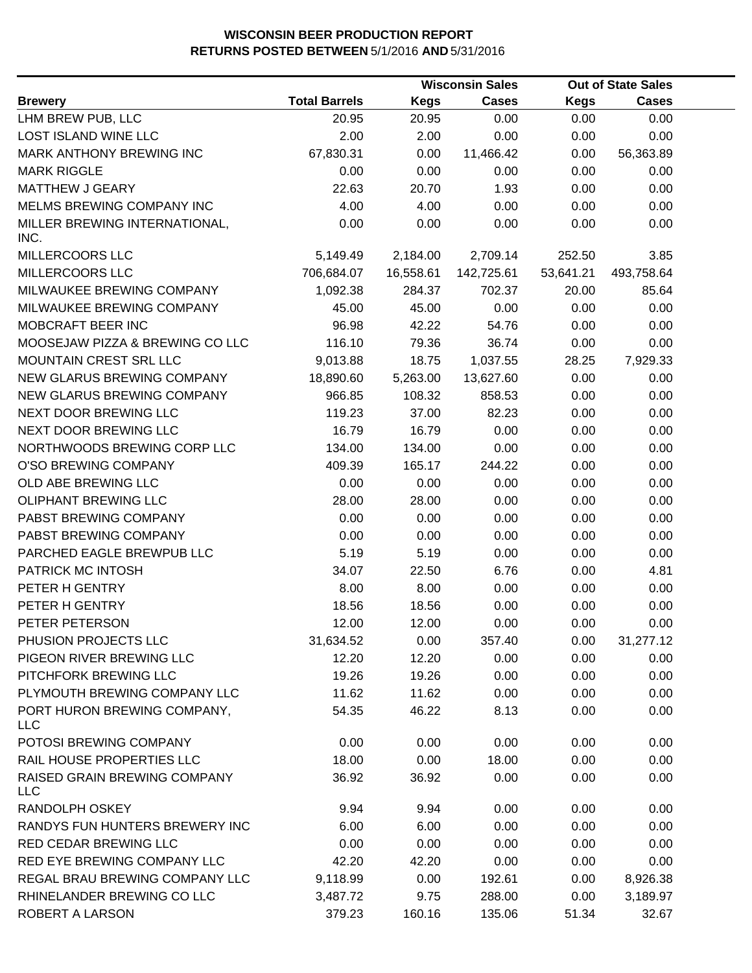|                                            |                      |             | <b>Wisconsin Sales</b> |             | <b>Out of State Sales</b> |  |
|--------------------------------------------|----------------------|-------------|------------------------|-------------|---------------------------|--|
| <b>Brewery</b>                             | <b>Total Barrels</b> | <b>Kegs</b> | <b>Cases</b>           | <b>Kegs</b> | <b>Cases</b>              |  |
| LHM BREW PUB, LLC                          | 20.95                | 20.95       | 0.00                   | 0.00        | 0.00                      |  |
| LOST ISLAND WINE LLC                       | 2.00                 | 2.00        | 0.00                   | 0.00        | 0.00                      |  |
| MARK ANTHONY BREWING INC                   | 67,830.31            | 0.00        | 11,466.42              | 0.00        | 56,363.89                 |  |
| <b>MARK RIGGLE</b>                         | 0.00                 | 0.00        | 0.00                   | 0.00        | 0.00                      |  |
| <b>MATTHEW J GEARY</b>                     | 22.63                | 20.70       | 1.93                   | 0.00        | 0.00                      |  |
| MELMS BREWING COMPANY INC                  | 4.00                 | 4.00        | 0.00                   | 0.00        | 0.00                      |  |
| MILLER BREWING INTERNATIONAL,<br>INC.      | 0.00                 | 0.00        | 0.00                   | 0.00        | 0.00                      |  |
| MILLERCOORS LLC                            | 5,149.49             | 2,184.00    | 2,709.14               | 252.50      | 3.85                      |  |
| MILLERCOORS LLC                            | 706,684.07           | 16,558.61   | 142,725.61             | 53,641.21   | 493,758.64                |  |
| MILWAUKEE BREWING COMPANY                  | 1,092.38             | 284.37      | 702.37                 | 20.00       | 85.64                     |  |
| MILWAUKEE BREWING COMPANY                  | 45.00                | 45.00       | 0.00                   | 0.00        | 0.00                      |  |
| MOBCRAFT BEER INC                          | 96.98                | 42.22       | 54.76                  | 0.00        | 0.00                      |  |
| MOOSEJAW PIZZA & BREWING CO LLC            | 116.10               | 79.36       | 36.74                  | 0.00        | 0.00                      |  |
| MOUNTAIN CREST SRL LLC                     | 9,013.88             | 18.75       | 1,037.55               | 28.25       | 7,929.33                  |  |
| NEW GLARUS BREWING COMPANY                 | 18,890.60            | 5,263.00    | 13,627.60              | 0.00        | 0.00                      |  |
| NEW GLARUS BREWING COMPANY                 | 966.85               | 108.32      | 858.53                 | 0.00        | 0.00                      |  |
| NEXT DOOR BREWING LLC                      | 119.23               | 37.00       | 82.23                  | 0.00        | 0.00                      |  |
| NEXT DOOR BREWING LLC                      | 16.79                | 16.79       | 0.00                   | 0.00        | 0.00                      |  |
| NORTHWOODS BREWING CORP LLC                | 134.00               | 134.00      | 0.00                   | 0.00        | 0.00                      |  |
| O'SO BREWING COMPANY                       | 409.39               | 165.17      | 244.22                 | 0.00        | 0.00                      |  |
| OLD ABE BREWING LLC                        | 0.00                 | 0.00        | 0.00                   | 0.00        | 0.00                      |  |
| <b>OLIPHANT BREWING LLC</b>                | 28.00                | 28.00       | 0.00                   | 0.00        | 0.00                      |  |
| PABST BREWING COMPANY                      | 0.00                 | 0.00        | 0.00                   | 0.00        | 0.00                      |  |
| PABST BREWING COMPANY                      | 0.00                 | 0.00        | 0.00                   | 0.00        | 0.00                      |  |
| PARCHED EAGLE BREWPUB LLC                  | 5.19                 | 5.19        | 0.00                   | 0.00        | 0.00                      |  |
| PATRICK MC INTOSH                          | 34.07                | 22.50       | 6.76                   | 0.00        | 4.81                      |  |
| PETER H GENTRY                             | 8.00                 | 8.00        | 0.00                   | 0.00        | 0.00                      |  |
| PETER H GENTRY                             | 18.56                | 18.56       | 0.00                   | 0.00        | 0.00                      |  |
| PETER PETERSON                             | 12.00                | 12.00       | 0.00                   | 0.00        | 0.00                      |  |
| PHUSION PROJECTS LLC                       | 31,634.52            | 0.00        | 357.40                 | 0.00        | 31,277.12                 |  |
| PIGEON RIVER BREWING LLC                   | 12.20                | 12.20       | 0.00                   | 0.00        | 0.00                      |  |
| PITCHFORK BREWING LLC                      | 19.26                | 19.26       | 0.00                   | 0.00        | 0.00                      |  |
| PLYMOUTH BREWING COMPANY LLC               | 11.62                | 11.62       | 0.00                   | 0.00        | 0.00                      |  |
| PORT HURON BREWING COMPANY,<br>LLC         | 54.35                | 46.22       | 8.13                   | 0.00        | 0.00                      |  |
| POTOSI BREWING COMPANY                     | 0.00                 | 0.00        | 0.00                   | 0.00        | 0.00                      |  |
| RAIL HOUSE PROPERTIES LLC                  | 18.00                | 0.00        | 18.00                  | 0.00        | 0.00                      |  |
| RAISED GRAIN BREWING COMPANY<br><b>LLC</b> | 36.92                | 36.92       | 0.00                   | 0.00        | 0.00                      |  |
| RANDOLPH OSKEY                             | 9.94                 | 9.94        | 0.00                   | 0.00        | 0.00                      |  |
| RANDYS FUN HUNTERS BREWERY INC             | 6.00                 | 6.00        | 0.00                   | 0.00        | 0.00                      |  |
| RED CEDAR BREWING LLC                      | 0.00                 | 0.00        | 0.00                   | 0.00        | 0.00                      |  |
| RED EYE BREWING COMPANY LLC                | 42.20                | 42.20       | 0.00                   | 0.00        | 0.00                      |  |
| REGAL BRAU BREWING COMPANY LLC             | 9,118.99             | 0.00        | 192.61                 | 0.00        | 8,926.38                  |  |
| RHINELANDER BREWING CO LLC                 | 3,487.72             | 9.75        | 288.00                 | 0.00        | 3,189.97                  |  |
| ROBERT A LARSON                            | 379.23               | 160.16      | 135.06                 | 51.34       | 32.67                     |  |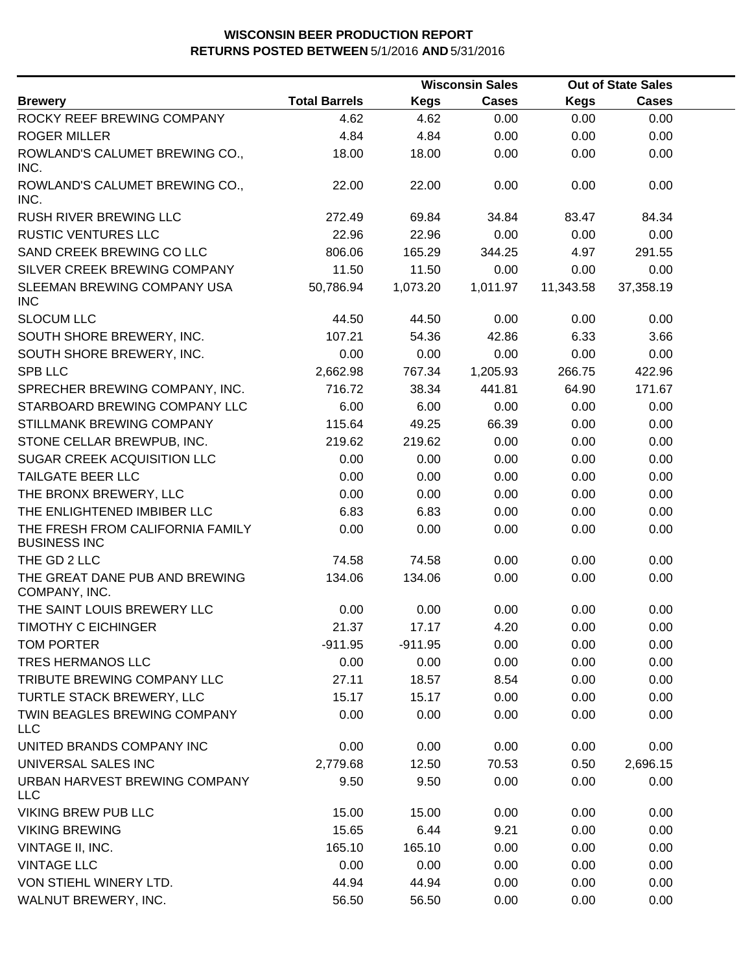|                                                         |                      |             | <b>Wisconsin Sales</b> |           | <b>Out of State Sales</b> |  |
|---------------------------------------------------------|----------------------|-------------|------------------------|-----------|---------------------------|--|
| <b>Brewery</b>                                          | <b>Total Barrels</b> | <b>Kegs</b> | <b>Cases</b>           | Kegs      | <b>Cases</b>              |  |
| ROCKY REEF BREWING COMPANY                              | 4.62                 | 4.62        | 0.00                   | 0.00      | 0.00                      |  |
| <b>ROGER MILLER</b>                                     | 4.84                 | 4.84        | 0.00                   | 0.00      | 0.00                      |  |
| ROWLAND'S CALUMET BREWING CO.,<br>INC.                  | 18.00                | 18.00       | 0.00                   | 0.00      | 0.00                      |  |
| ROWLAND'S CALUMET BREWING CO.,<br>INC.                  | 22.00                | 22.00       | 0.00                   | 0.00      | 0.00                      |  |
| <b>RUSH RIVER BREWING LLC</b>                           | 272.49               | 69.84       | 34.84                  | 83.47     | 84.34                     |  |
| <b>RUSTIC VENTURES LLC</b>                              | 22.96                | 22.96       | 0.00                   | 0.00      | 0.00                      |  |
| SAND CREEK BREWING CO LLC                               | 806.06               | 165.29      | 344.25                 | 4.97      | 291.55                    |  |
| SILVER CREEK BREWING COMPANY                            | 11.50                | 11.50       | 0.00                   | 0.00      | 0.00                      |  |
| SLEEMAN BREWING COMPANY USA<br><b>INC</b>               | 50,786.94            | 1,073.20    | 1,011.97               | 11,343.58 | 37,358.19                 |  |
| <b>SLOCUM LLC</b>                                       | 44.50                | 44.50       | 0.00                   | 0.00      | 0.00                      |  |
| SOUTH SHORE BREWERY, INC.                               | 107.21               | 54.36       | 42.86                  | 6.33      | 3.66                      |  |
| SOUTH SHORE BREWERY, INC.                               | 0.00                 | 0.00        | 0.00                   | 0.00      | 0.00                      |  |
| <b>SPB LLC</b>                                          | 2,662.98             | 767.34      | 1,205.93               | 266.75    | 422.96                    |  |
| SPRECHER BREWING COMPANY, INC.                          | 716.72               | 38.34       | 441.81                 | 64.90     | 171.67                    |  |
| STARBOARD BREWING COMPANY LLC                           | 6.00                 | 6.00        | 0.00                   | 0.00      | 0.00                      |  |
| <b>STILLMANK BREWING COMPANY</b>                        | 115.64               | 49.25       | 66.39                  | 0.00      | 0.00                      |  |
| STONE CELLAR BREWPUB, INC.                              | 219.62               | 219.62      | 0.00                   | 0.00      | 0.00                      |  |
| SUGAR CREEK ACQUISITION LLC                             | 0.00                 | 0.00        | 0.00                   | 0.00      | 0.00                      |  |
| TAILGATE BEER LLC                                       | 0.00                 | 0.00        | 0.00                   | 0.00      | 0.00                      |  |
| THE BRONX BREWERY, LLC                                  | 0.00                 | 0.00        | 0.00                   | 0.00      | 0.00                      |  |
| THE ENLIGHTENED IMBIBER LLC                             | 6.83                 | 6.83        | 0.00                   | 0.00      | 0.00                      |  |
| THE FRESH FROM CALIFORNIA FAMILY<br><b>BUSINESS INC</b> | 0.00                 | 0.00        | 0.00                   | 0.00      | 0.00                      |  |
| THE GD 2 LLC                                            | 74.58                | 74.58       | 0.00                   | 0.00      | 0.00                      |  |
| THE GREAT DANE PUB AND BREWING<br>COMPANY, INC.         | 134.06               | 134.06      | 0.00                   | 0.00      | 0.00                      |  |
| THE SAINT LOUIS BREWERY LLC                             | 0.00                 | 0.00        | 0.00                   | 0.00      | 0.00                      |  |
| <b>TIMOTHY C EICHINGER</b>                              | 21.37                | 17.17       | 4.20                   | 0.00      | 0.00                      |  |
| TOM PORTER                                              | $-911.95$            | $-911.95$   | 0.00                   | 0.00      | 0.00                      |  |
| TRES HERMANOS LLC                                       | 0.00                 | 0.00        | 0.00                   | 0.00      | 0.00                      |  |
| TRIBUTE BREWING COMPANY LLC                             | 27.11                | 18.57       | 8.54                   | 0.00      | 0.00                      |  |
| TURTLE STACK BREWERY, LLC                               | 15.17                | 15.17       | 0.00                   | 0.00      | 0.00                      |  |
| TWIN BEAGLES BREWING COMPANY<br><b>LLC</b>              | 0.00                 | 0.00        | 0.00                   | 0.00      | 0.00                      |  |
| UNITED BRANDS COMPANY INC                               | 0.00                 | 0.00        | 0.00                   | 0.00      | 0.00                      |  |
| UNIVERSAL SALES INC                                     | 2,779.68             | 12.50       | 70.53                  | 0.50      | 2,696.15                  |  |
| URBAN HARVEST BREWING COMPANY<br><b>LLC</b>             | 9.50                 | 9.50        | 0.00                   | 0.00      | 0.00                      |  |
| <b>VIKING BREW PUB LLC</b>                              | 15.00                | 15.00       | 0.00                   | 0.00      | 0.00                      |  |
| <b>VIKING BREWING</b>                                   | 15.65                | 6.44        | 9.21                   | 0.00      | 0.00                      |  |
| VINTAGE II, INC.                                        | 165.10               | 165.10      | 0.00                   | 0.00      | 0.00                      |  |
| <b>VINTAGE LLC</b>                                      | 0.00                 | 0.00        | 0.00                   | 0.00      | 0.00                      |  |
| VON STIEHL WINERY LTD.                                  | 44.94                | 44.94       | 0.00                   | 0.00      | 0.00                      |  |
| WALNUT BREWERY, INC.                                    | 56.50                | 56.50       | 0.00                   | 0.00      | 0.00                      |  |
|                                                         |                      |             |                        |           |                           |  |